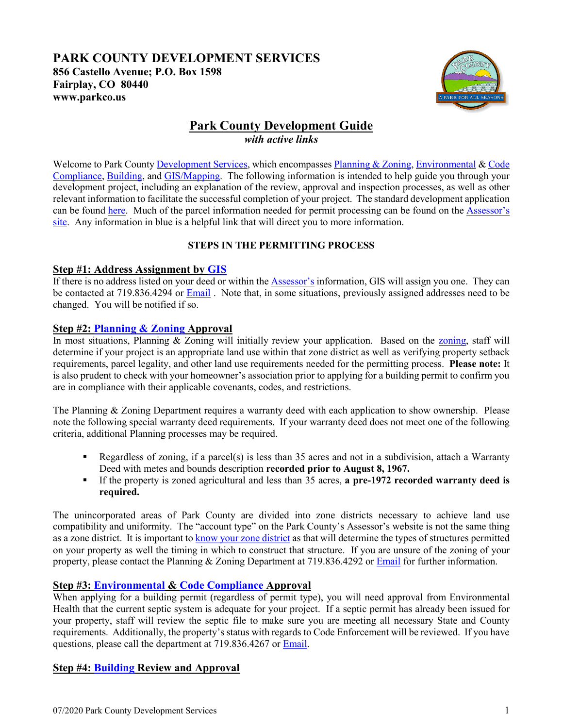## **PARK COUNTY DEVELOPMENT SERVICES 856 Castello Avenue; P.O. Box 1598 Fairplay, CO 80440 www.parkco.us**



# **Park County Development Guide** *with active links*

Welcome to Park Count[y Development Services,](https://parkco.us/85/Development-Services) which encompasse[s Planning & Zoning,](https://parkco.us/183/Planning-Zoning) [Environmental](https://parkco.us/181/Environmental-Health) & Code [Compliance,](https://parkco.us/179/Code-Enforcement) [Building,](https://parkco.us/75/Building) and [GIS/Mapping.](https://parkco.us/80/GIS-Mapping) The following information is intended to help guide you through your development project, including an explanation of the review, approval and inspection processes, as well as other relevant information to facilitate the successful completion of your project. The standard development application can be found [here.](https://parkco.us/DocumentCenter/View/2531/Building-Driveway-and-Septic-permit-application) Much of the parcel information needed for permit processing can be found on the [Assessor's](https://parkco.us/73/Assessor)  [site.](https://parkco.us/73/Assessor) Any information in blue is a helpful link that will direct you to more information.

## **STEPS IN THE PERMITTING PROCESS**

## **Step #1: Address Assignment by [GIS](https://parkco.us/80/GIS-Mapping)**

If there is no address listed on your deed or within the **Assessor's** information, GIS will assign you one. They can be contacted at 719.836.4294 or [Email](https://parkco.us/FormCenter/Contact-Us-4-4/Contact-GIS-Mapping-132-132) . Note that, in some situations, previously assigned addresses need to be changed. You will be notified if so.

## **Step #2: [Planning & Zoning](https://parkco.us/183/Planning-Zoning) Approval**

In most situations, Planning & Zoning will initially review your application. Based on the [zoning,](https://maps.parkco.us/) staff will determine if your project is an appropriate land use within that zone district as well as verifying property setback requirements, parcel legality, and other land use requirements needed for the permitting process. **Please note:** It is also prudent to check with your homeowner's association prior to applying for a building permit to confirm you are in compliance with their applicable covenants, codes, and restrictions.

The Planning & Zoning Department requires a warranty deed with each application to show ownership. Please note the following special warranty deed requirements. If your warranty deed does not meet one of the following criteria, additional Planning processes may be required.

- Regardless of zoning, if a parcel(s) is less than 35 acres and not in a subdivision, attach a Warranty Deed with metes and bounds description **recorded prior to August 8, 1967.**
- If the property is zoned agricultural and less than 35 acres, **a pre-1972 recorded warranty deed is required.**

The unincorporated areas of Park County are divided into zone districts necessary to achieve land use compatibility and uniformity. The "account type" on the Park County's Assessor's website is not the same thing as a zone district. It is important t[o know your zone district](https://maps.parkco.us/) as that will determine the types of structures permitted on your property as well the timing in which to construct that structure. If you are unsure of the zoning of your property, please contact the Planning & Zoning Department at 719.836.4292 or [Email](https://parkco.us/FormCenter/Contact-Us-4-4/Contact-Planning-Zoning-146-146) for further information.

## **Step #3: [Environmental](https://parkco.us/181/Environmental-Health) & [Code Compliance](https://parkco.us/179/Code-Enforcement) Approval**

When applying for a building permit (regardless of permit type), you will need approval from Environmental Health that the current septic system is adequate for your project. If a septic permit has already been issued for your property, staff will review the septic file to make sure you are meeting all necessary State and County requirements. Additionally, the property's status with regards to Code Enforcement will be reviewed. If you have questions, please call the department at 719.836.4267 or [Email.](https://parkco.us/FormCenter/Contact-Us-4-4/Contact-Environmental-Health-145-145)

## **Step #4: [Building](https://parkco.us/75/Building) Review and Approval**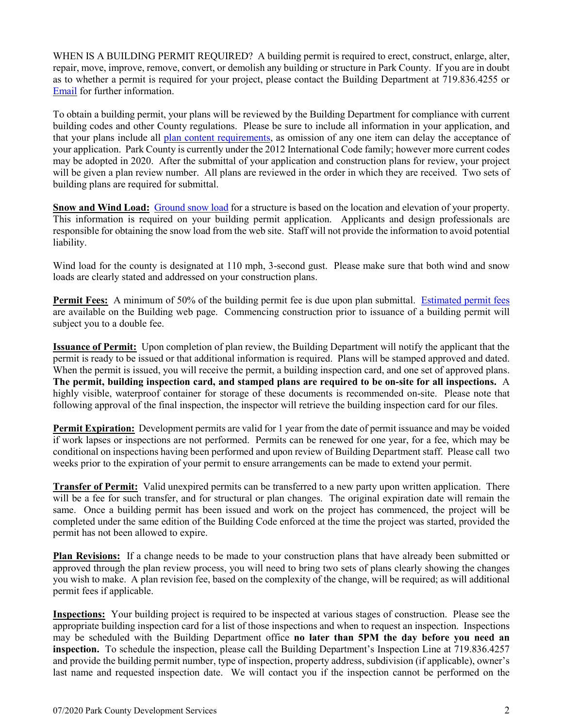WHEN IS A BUILDING PERMIT REQUIRED? A building permit is required to erect, construct, enlarge, alter, repair, move, improve, remove, convert, or demolish any building or structure in Park County. If you are in doubt as to whether a permit is required for your project, please contact the Building Department at 719.836.4255 or [Email](https://parkco.us/FormCenter/Contact-Us-4/Contact-Building-46) for further information.

To obtain a building permit, your plans will be reviewed by the Building Department for compliance with current building codes and other County regulations. Please be sure to include all information in your application, and that your plans include all [plan content requirements,](https://parkco.us/DocumentCenter/View/3355/Building-Permit-App-Plan-Content-Requirements) as omission of any one item can delay the acceptance of your application. Park County is currently under the 2012 International Code family; however more current codes may be adopted in 2020. After the submittal of your application and construction plans for review, your project will be given a plan review number. All plans are reviewed in the order in which they are received. Two sets of building plans are required for submittal.

**Snow and Wind Load:** [Ground snow load](https://maps.parkco.us/) for a structure is based on the location and elevation of your property. This information is required on your building permit application. Applicants and design professionals are responsible for obtaining the snow load from the web site. Staff will not provide the information to avoid potential liability.

Wind load for the county is designated at 110 mph, 3-second gust. Please make sure that both wind and snow loads are clearly stated and addressed on your construction plans.

**Permit Fees:** A minimum of 50% of the building permit fee is due upon plan submittal. [Estimated permit fees](https://parkco.us/135/Permit-Applications-Fees) are available on the Building web page. Commencing construction prior to issuance of a building permit will subject you to a double fee.

**Issuance of Permit:** Upon completion of plan review, the Building Department will notify the applicant that the permit is ready to be issued or that additional information is required. Plans will be stamped approved and dated. When the permit is issued, you will receive the permit, a building inspection card, and one set of approved plans. **The permit, building inspection card, and stamped plans are required to be on-site for all inspections.** A highly visible, waterproof container for storage of these documents is recommended on-site. Please note that following approval of the final inspection, the inspector will retrieve the building inspection card for our files.

**Permit Expiration:** Development permits are valid for 1 year from the date of permit issuance and may be voided if work lapses or inspections are not performed. Permits can be renewed for one year, for a fee, which may be conditional on inspections having been performed and upon review of Building Department staff. Please call two weeks prior to the expiration of your permit to ensure arrangements can be made to extend your permit.

**Transfer of Permit:** Valid unexpired permits can be transferred to a new party upon written application. There will be a fee for such transfer, and for structural or plan changes. The original expiration date will remain the same. Once a building permit has been issued and work on the project has commenced, the project will be completed under the same edition of the Building Code enforced at the time the project was started, provided the permit has not been allowed to expire.

**Plan Revisions:** If a change needs to be made to your construction plans that have already been submitted or approved through the plan review process, you will need to bring two sets of plans clearly showing the changes you wish to make. A plan revision fee, based on the complexity of the change, will be required; as will additional permit fees if applicable.

**Inspections:** Your building project is required to be inspected at various stages of construction. Please see the appropriate building inspection card for a list of those inspections and when to request an inspection. Inspections may be scheduled with the Building Department office **no later than 5PM the day before you need an inspection.** To schedule the inspection, please call the Building Department's Inspection Line at 719.836.4257 and provide the building permit number, type of inspection, property address, subdivision (if applicable), owner's last name and requested inspection date. We will contact you if the inspection cannot be performed on the